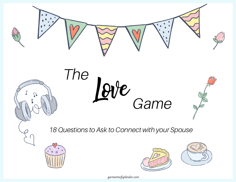











garmentsofsplendor.com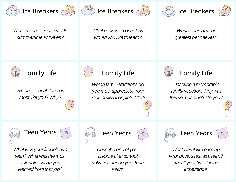

What is one of your favorite summertime activities?

Ice Breakers 2008 (Solice Breakers





What new sport or hobby would you like to learn?

What is one of your greatest pet peeves?



Which of our children is most like you? Why?



## Family Life **Family Life** Family Life **Family Life**

Which family traditions do you most appreciate from your family of origin? Why?



Describe a memorable family vacation. Why was this so meaningful to you?





What was your first job as a teen? What was the most valuable lesson you learned from that job?



Describe one of your favorite after school activities during your teen years.





What was it like passing your driver's test as a teen? Recall your first driving experience.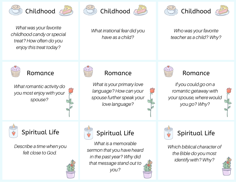



What was your favorite childhood candy or special treat? How often do you enjoy this treat today?



What irrational fear did you have as a child?





Who was your favorite teacher as a child? Why?



What romantic activity do you most enjoy with your spouse?



## Romance **Romance** Romance Romance

What is your primary love language? How can your spouse further speak your love language?



If you could go on a romantic getaway with your spouse, where would you go? Why?





Describe a time when you felt close to God.





What is a memorable sermon that you have heard in the past year? Why did that message stand out to you?





Which biblical character of the Bible do you most identify with? Why?

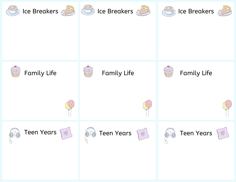